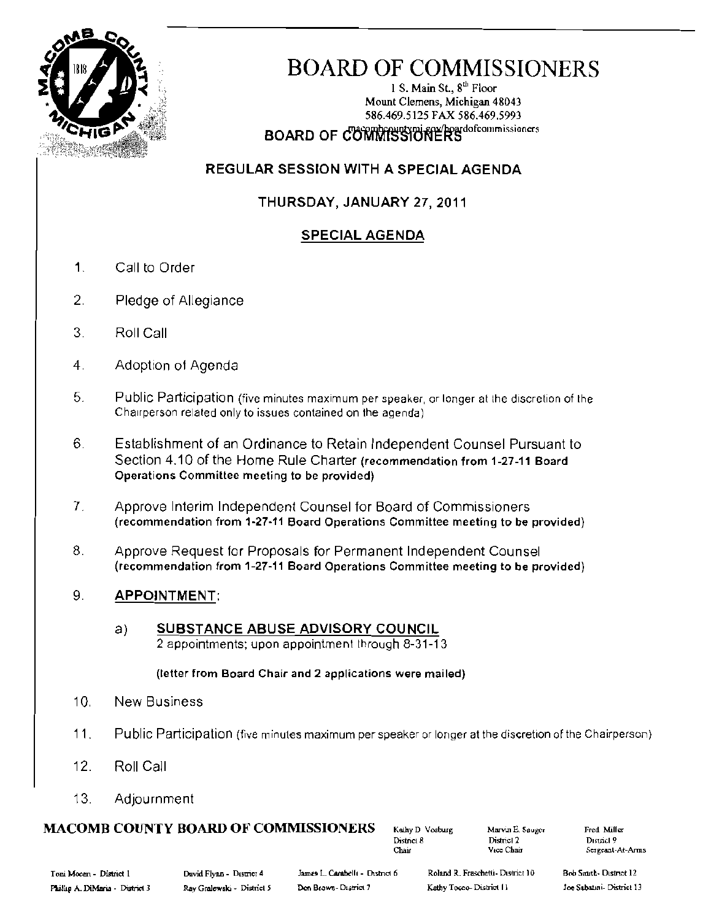

# **BOARD OF COMMISSIONERS**

1 S. Main St.,  $8<sup>th</sup>$  Floor Mount Clemens, Michigan 48043 586.469.5125 FAX 586.469.5993 **BOARD OF COMMISSIONERS** 

# **REGULAR SESSION WITH A SPECIAL AGENDA**

# THURSDAY, JANUARY 27, 2011

# **SPECIAL AGENDA**

- $\mathbf 1$ Call to Order
- 2. Pledge of Allegiance
- $3.$ Roll Call
- $\overline{4}$ . Adoption of Agenda
- 5. Public Participation (five minutes maximum per speaker, or longer at the discretion of the Chairperson related only to issues contained on the agenda)
- $6.$ Establishment of an Ordinance to Retain Independent Counsel Pursuant to Section 4.10 of the Home Rule Charter (recommendation from 1-27-11 Board Operations Committee meeting to be provided)
- $\overline{I}$ . Approve Interim Independent Counsel for Board of Commissioners (recommendation from 1-27-11 Board Operations Committee meeting to be provided)
- Approve Request for Proposals for Permanent Independent Counsel 8. (recommendation from 1-27-11 Board Operations Committee meeting to be provided)

#### 9. **APPOINTMENT:**

SUBSTANCE ABUSE ADVISORY COUNCIL a) 2 appointments; upon appointment through 8-31-13

(letter from Board Chair and 2 applications were mailed)

- $10.$ **New Business**
- $11<sub>1</sub>$ Public Participation (five minutes maximum per speaker or longer at the discretion of the Chairperson)
- $12.$ Roll Call
- $13.$ Adjournment

# **MACOMB COUNTY BOARD OF COMMISSIONERS**

Kathy D Vosburg District 8 Chair

Marvin E. Sauger District 2 Vice Chair

Fred Miller District 9 Sergeant-At-Arms

Roland R. Fraschetti- District 10 Kathy Tocco-District 11

Bob Smith-District 12 Joe Sabatini- District 13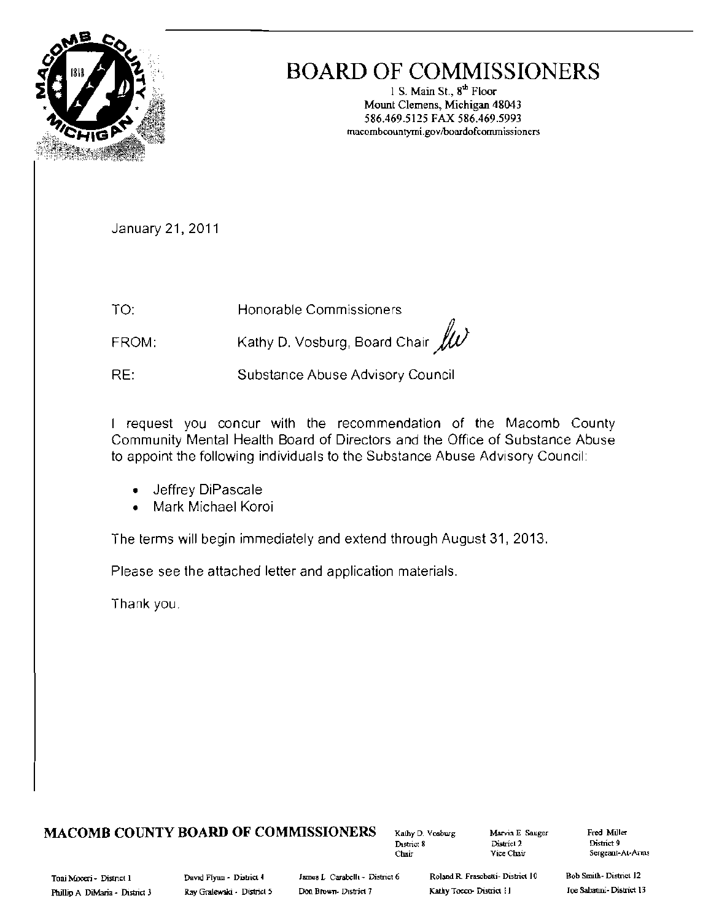

# **BOARD OF COMMISSIONERS**

**I** S. Main St.,  $8^{\text{th}}$  Floor **Mount Clemens, Michigan 48043 586.469.5115 FAX 586.469.5993 macombcollnryrni.govlboardofcomrnissioners** 

January 21,2011

TO: **Honorable Commissioners** 

FROM: Kathy D. Vosburg, Board Chair  $\mathscr{U}$ 

RE: **Substance Abuse Advisory Council** 

I request you concur with the recommendation of the Macomb County Community Mental Health Board of Directors and the Office of Substance Abuse to appoint the following individuals to the Substance Abuse Advisory Council

- **Jeffrey DiPascale**
- **Mark Michael Koroi**

The terms will begin immediately and extend through August 31, 2013.

Please see the attached letter and application materials.

Thank you

# **MACOMB COUNTY BOARD OF COMMISSIONERS Kathy D. Vosburg Marvin E. Sauger**

**DlstriC18 District 2 Dime! 9** 

**Fred Miller Clulir Vice Chair Sergeant-AI-Anus** 

Toni Mooeri - District 1 **David Flynn - District 4** James L Carabelli - District 6 Roland R. Frascbetti - District 10 Bob Smith- District 12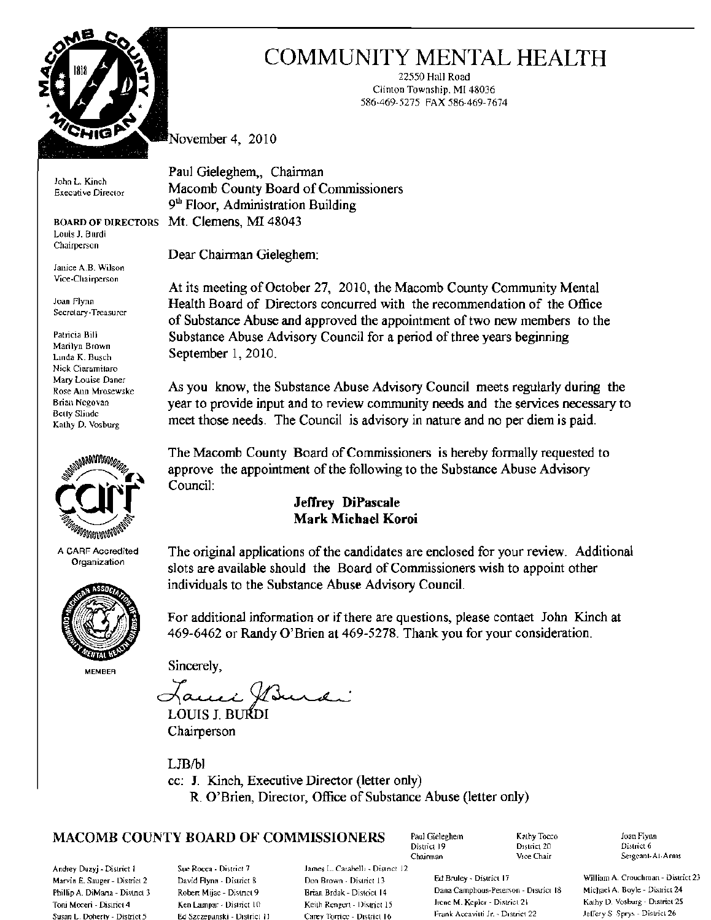

John L. Kinch

Louis J. Burdi Chairperson

Janice A.B. Wilson Vice·Chairperson

Nick Ciaramilaro Mary Louise Daner



A **CARF** Accredited **Organization** 



**MEMBER** 

# COMMUNITY MENTAL HEALTH

22550 Hall Road Ciimon Township, **MI** 48036 586·469-5275 FAX 586-469-7674

**November 4, 2010** 

Paul Gieleghem, Chairman Executive Direclor **Macomb County Board of Commissioners 9th Floor, Administration Building BOARD OF DIRECTORS** MI. Clemens, MI 48043

Dear Chairman Gieleghem:

**At its meeting of October** 27, **2010, the Macomb County Community Mental** Joan Flynn **Health Board of Directors concurred with the recommendation of the Office**  of Substance Abuse and approved the appointment of two new members to the Patricia Bill **Substance Abuse Advisory Council for a period of three years beginning**<br>Marilyn Brown<br>Linda K. Busch **September 1, 2010**. September 1, 2010.

Rose Ann Mro.lew.lkc **As you know, the Substance Abuse Advisory Council meets regularly during the**  Brian Negovan **year to provide input and to review community needs and the services necessary to** Betty Slinde Belly Sliudc **meet those needs.** The Council is advisory in nature and no per diem is paid.

> **The Macomb County Board of Commissioners is hereby fonnally requested to approve the appointment of the following to the Substance Abuse Advisory Council:**

# **Jeffrey DiPascale Mark Michael Koroi**

**The original applications** of the **candidates are enclosed for your review. Additional slots are available should the Board of Commissioners wish to appoint other individuals to the Substance Abuse Advisory Council.** 

For additional information or if there are questions, please contaet John Kinch at **469-6462 or Randy O'Brien at 469-5278. Thank you for your consideration.** 

**Sincerely,** 

Jann Win

**Chairperson** 

LJB/bl cc: **1. Kinch, Executive Director (letter only) R. O'Brien, Director, Office of Substance Abuse (letter only)** 

# $\textbf{MACOMB COUNTY BOARD OF COMMISSIONERS}$  Paul Gieleghem  $\begin{array}{ccc} \text{Kahly Tocco} & \text{Iom Flynn} \end{array}$

Andrey Duzyj - District 1 Sue Rocca - District 7 lames L. Carabelli - District 12 Susan L. Doherty - District 5 **Ed Szczepanski - District 11** Carey Torrice - District 16

District 19 District 20 District 20 District 20 District

Marvin E. Sauger - District 2 David Flynn - District 8 Don Brown - District 13 Ed Bruley - District 17 William A. Crouchman - District 23 E. Sauger - District 2 David Flynn - District 23 Don Brown - District 14 Dana Campbo Phillip A. DiMana - District 3 Robert Mijae - District 9 Brian Brdak - Distoct 14 Dana Camphous-Peterson - District 13 Michael A. Boyle - District 24 Robert A. Boyle - District 24 Robert - District 25 Rathy D. Vosburg - Di Toni Moceri - District 4 Men Lampar - District 10 Keith Rengert - District 15 Irene M. Kepler - District 21 Kathy D. Vosburg - District 26<br>Susan L. Doberty - District 5 Ed Szczenanski - District 11 Carey Torrice - District

Sergeant-At-Arms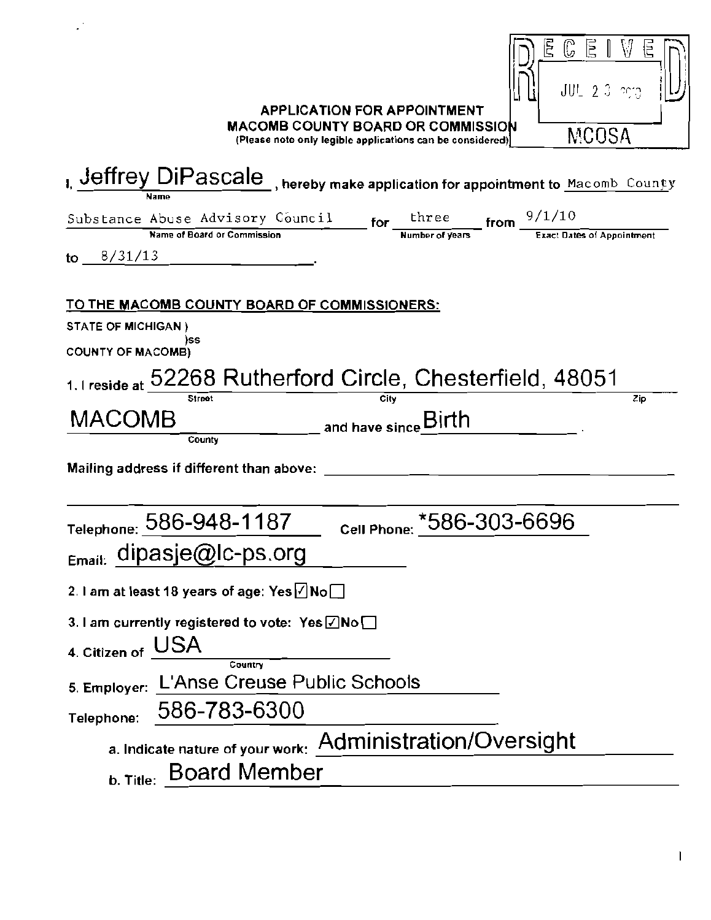| C E<br>Ŀ.<br>W<br>$JUL = 2.3$ and $2.3$<br><b>APPLICATION FOR APPOINTMENT</b><br><b>MACOMB COUNTY BOARD OR COMMISSION</b><br>MCOSA<br>(Please note only legible applications can be considered)                                     |
|-------------------------------------------------------------------------------------------------------------------------------------------------------------------------------------------------------------------------------------|
| I. Jeffrey DiPascale , hereby make application for appointment to Macomb County                                                                                                                                                     |
| $\frac{\text{for } \frac{\text{three}}{\text{Number of years}}}{\text{Number of years}}$ from $\frac{9/1/10}{\text{Exact Dates of Appointment}}$<br>Substance Abuse Advisory Council<br>Name of Board or Commission<br>to $8/31/13$ |
| <u>TO THE MACOMB COUNTY BOARD OF COMMISSIONERS:</u><br><b>STATE OF MICHIGAN)</b><br>)SS                                                                                                                                             |
| <b>COUNTY OF MACOMB)</b><br>1. I reside at 52268 Rutherford Circle, Chesterfield, 48051<br>Street<br>City<br>Zip                                                                                                                    |
| MACOMB<br>and have since Birth<br>County<br>Mailing address if different than above:                                                                                                                                                |
| Telephone: 586-948-1187<br>*586-303-6696<br><b>Cell Phone:</b><br>$_{Email.}$ dipasje@Ic-ps.org                                                                                                                                     |
| 2. I am at least 18 years of age: Yes $\angle$ No $\Box$<br>3. I am currently registered to vote: $Yes \& No \Box$<br>USA<br>4. Citizen of<br>Country                                                                               |
| L'Anse Creuse Public Schools<br>5. Employer:<br>586-783-6300<br>Telephone:                                                                                                                                                          |
| a. Indicate nature of your work: Administration/Oversight                                                                                                                                                                           |
| <b>b. Title: Board Member</b>                                                                                                                                                                                                       |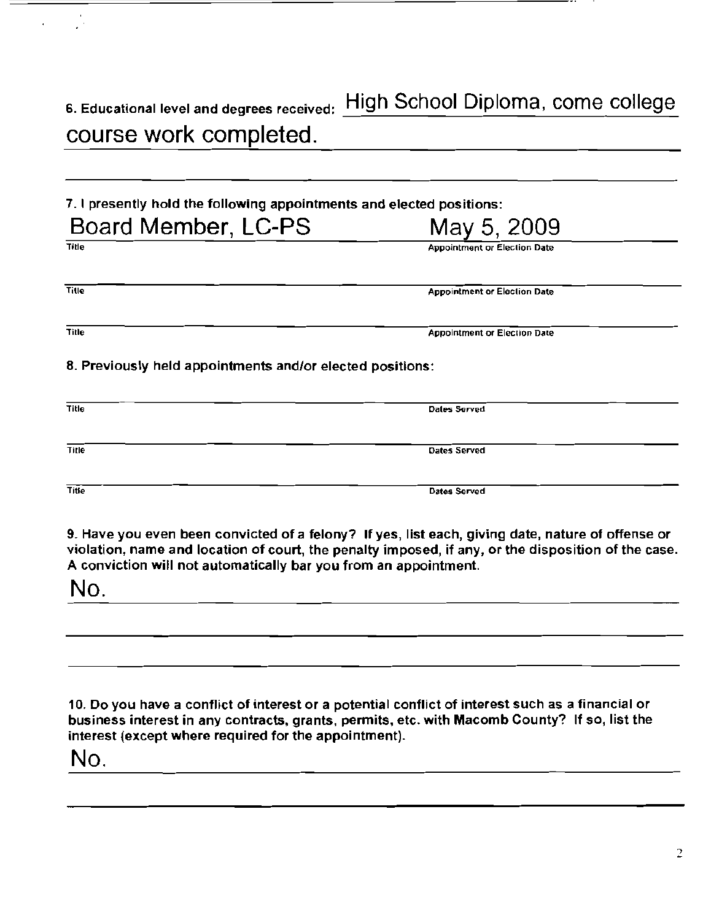6. Educational level and degrees received: High School Diploma, come college course work completed.

7. I presently hold the following appointments and elected positions: Board Member, LC-PS May 5, 2009

Title **Appointment or Election Date** 

| DOCIU MEMPER, LU-PO | May 5, 2009                         |
|---------------------|-------------------------------------|
| <b>Title</b>        | <b>Appointment or Election Date</b> |
|                     |                                     |
| Title               | <b>Appointment or Election Date</b> |
|                     |                                     |

8. Previously held appointments and/or elected positions:

| Title | Dales Served        |
|-------|---------------------|
| Title | <b>Dates Served</b> |
| Title | Dates Served        |

9. Have you even been convicted of a felony? If yes, list each, giving date, nature of offense or violation, name and location of court, the penalty imposed, if any. or the disposition of the case. A conviction will not automatically bar you from an appointment.

No.

10. Do you have a conflict of interest or a potential conflict of interest such as a financial or business interest in any contracts, grants, permits, etc. with Macomb County? If so, list the interest (except where required for the appointment).

No.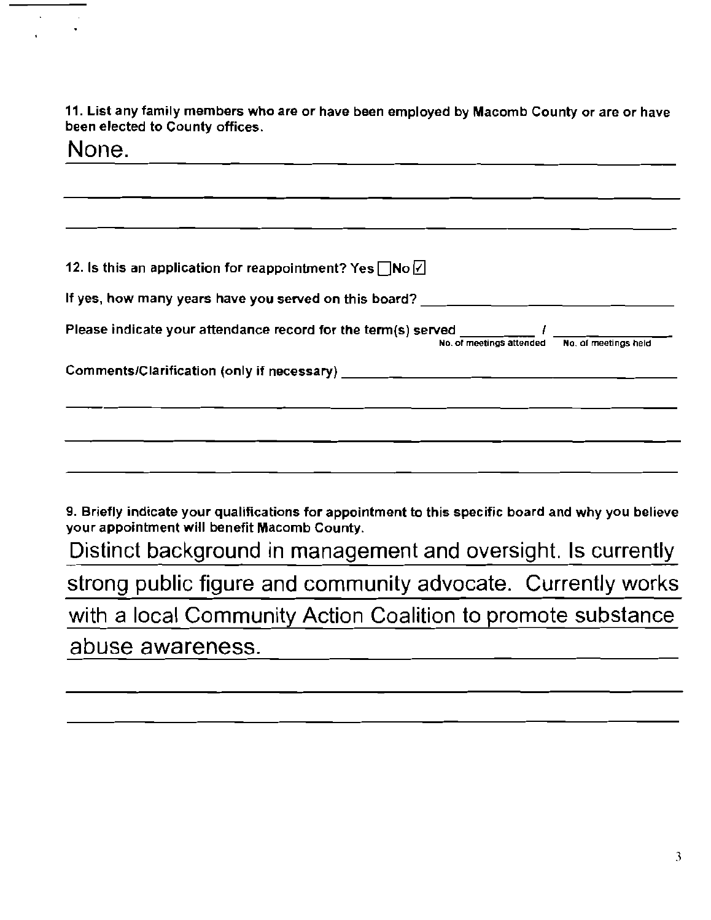**11. List any family members who are or have been employed by Macomb County or are or have been elected to County offices.** 

| None.                                                                                                                                              |
|----------------------------------------------------------------------------------------------------------------------------------------------------|
|                                                                                                                                                    |
|                                                                                                                                                    |
| 12. Is this an application for reappointment? Yes $\Box$ No $\Box$                                                                                 |
| If yes, how many years have you served on this board? ___________________________                                                                  |
| Please indicate your attendance record for the term(s) served $\frac{1}{N_0}$ of meetings attended $\frac{1}{N_0}$ of meetings held                |
|                                                                                                                                                    |
|                                                                                                                                                    |
|                                                                                                                                                    |
|                                                                                                                                                    |
| 9. Briefly indicate your qualifications for appointment to this specific board and why you believe<br>your appointment will benefit Macomb County. |
| Distinct background in management and oversight. Is currently                                                                                      |
| strong public figure and community advocate. Currently works                                                                                       |
| with a local Community Action Coalition to promote substance                                                                                       |

abuse awareness.

 $\bar{\mathcal{L}}$ 

 $\bar{z}$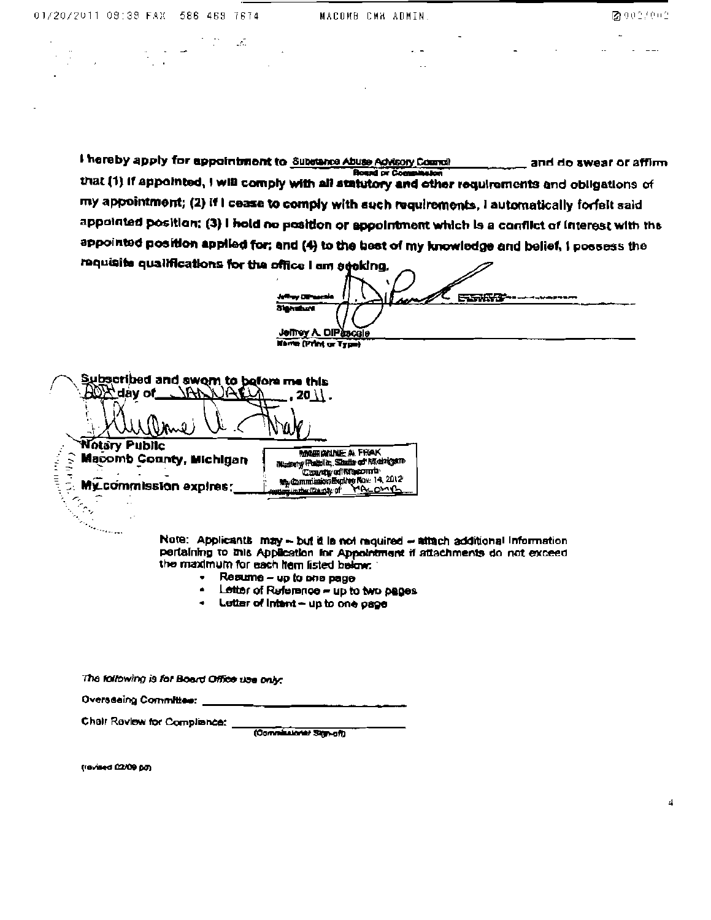I hereby apply for appointment to Substance Abuse Advisory Council and do swear or affirm أوالعطا **Board or Come** that (1) if appointed, I will comply with all statutory and other requirements and obligations of my appointment; (2) if I cease to comply with such requirements, I automatically forfelt said appointed position; (3) I hold no position or appointment which is a conflict of interest with the appointed position applied for; and (4) to the best of my knowledge and belief, I possess the requisits qualifications for the office I am agoking.

ENGWAY a men **Stangbord Jeffrey A. DIPascale Harris (Print or Type)** 

Subsetibed and swom to before me this  $20 \lambda$ . Urne **Notary Public MARIANNE A FRAK** and the \_ີ Macomb County, Michiga<br>=<br>2. Mγ๊commission expires; **Macomb County, Michigan** Musery Pathle, State of Midnigen My Commission Explore Nov. 14, 2012 

 $\mathcal{L}^{\text{max}}_{\text{max}}$ 

Note: Applicants may -- but it is not required -- situah additional information pertaining to this Application for Appointment if attachments do not exceed the maximum for each from listed below.

- $\bullet$  Resume up to one page
- Letter of Reference up to two pages
- . Letter of intent up to one page

The following is for Board Office use only:

Oversdeing Committee:

Chair Review for Compliance:

(Commissioner Sign-off)

(revised 02/09 pm)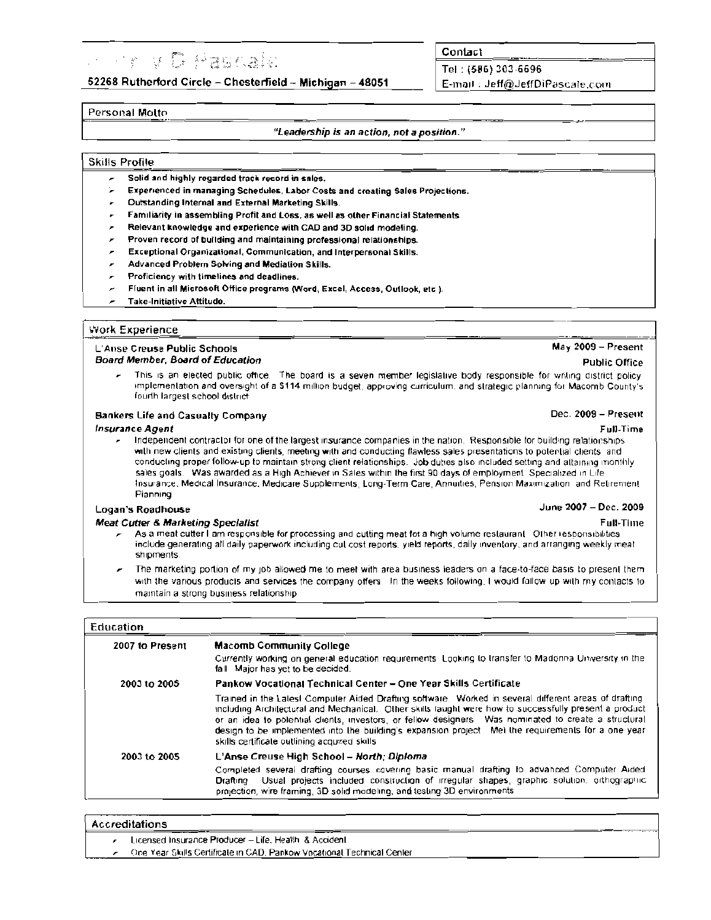# **Service State**

52268 Rutherford Circle - Chesterfield - Michigan - 48051

## Contact

Tel: (586) 303-6696 E-mail: Jeff@JeffDiPascale.com

## Personal Molto

### "Leadership is an action, not a position."

## **Skills Profile**

- Solid and highly regarded track record in sales.
- Experienced in managing Schedules, Labor Costs and creating Sales Projections.
- Outstanding Internal and External Marketing Skills.
- Familiarity in assembling Profit and Loss, as well as other Financial Statements
- Relevant knowledge and experience with CAD and 3D solid modeling.
- Proven record of building and maintaining professional relationships.
- Exceptional Organizational, Communication, and Interpersonal Skills. ×
- Advanced Problem Solving and Mediation Skills.
- Proficiency with timelines and deadlines.
- Fluent in all Microsoft Office programs (Word, Excel, Access, Outlook, etc.).
- Take-Initiative Attitude.

## **Work Experience**

#### **L'Anse Creuse Public Schools Board Member, Board of Education**

This is an elected public office. The board is a seven member legislative body responsible for writing district policy implementation and oversight of a \$114 million budget, approving curriculum, and strategic planning for Macomb County's fourth largest school district

### **Bankers Life and Casualty Company**

### **Insurance Agent**

Independent contractor for one of the largest insurance companies in the nation. Responsible for building relationships with new clients and existing clients, meeting with and conducting flawless sales presentations to potential clients, and conducting proper follow-up to maintain strong client relationships. Job duties also included setting and attaining monthly sales goals. Was awarded as a High Achiever in Sales within the first 90 days of employment. Specialized in Life Insurance, Medical Insurance, Medicare Supplements, Long-Term Care, Annuities, Pension Maximization and Retirement. Pianning June 2007 - Dec. 2009

### Logan's Roadhouse

### **Meat Cutter & Marketino Specialist**

- As a meat cutter I am responsible for processing and cutting meat for a high volume restaurant. Other responsibilities include generating all daily paperwork including cul cost reports, yield reports, daily inventory, and arranging weekly meat shipments
- The marketing portion of my job allowed me to meet with area business leaders on a face-to-face basis to present them with the various products and services the company offers. In the weeks following, I would fallow up with my contacts to maintain a strong business relationship

## Education

| 2007 to Present | <b>Macomb Community College</b>                                                                                                                                                                                                                                                                                                                                                                                                                                                 |
|-----------------|---------------------------------------------------------------------------------------------------------------------------------------------------------------------------------------------------------------------------------------------------------------------------------------------------------------------------------------------------------------------------------------------------------------------------------------------------------------------------------|
|                 | Currently working on general education requirements. Looking to transfer to Madonna University in the<br>fall Major has yet to be decided.                                                                                                                                                                                                                                                                                                                                      |
| 2003 to 2005    | Pankow Vocational Technical Center - One Year Skills Certificate                                                                                                                                                                                                                                                                                                                                                                                                                |
|                 | Trained in the Latest Computer Aided Drafting software. Worked in several different areas of drafting<br>including Architectural and Mechanical. Other skills laught were how to successfully present a product<br>or an idea to potential clients, investors, or fellow designers. Was nominated to create a structural<br>design to be implemented into the building's expansion project. Met the requirements for a one year<br>skills certificate outlining acquired skills |
| 2003 to 2005    | L'Anse Creuse High School – North; Diploma                                                                                                                                                                                                                                                                                                                                                                                                                                      |
|                 | Completed several drafting courses covering basic manual drafting to advanced Computer Aided<br>Usual projects included construction of irregular shapes, graphic solution, orthographic<br>Drafting<br>projection, wire framing, 3D solid modeling, and testing 3D environments.                                                                                                                                                                                               |

**Accreditations** 

Licensed Insurance Producer - Life, Health & Accident

One Year Skills Certificate in CAD, Pankow Vecational Technical Center

 $May 2009 - Present$ **Public Office** 

### Dec. 2009 - Present

## Full-Time

**Full-Time**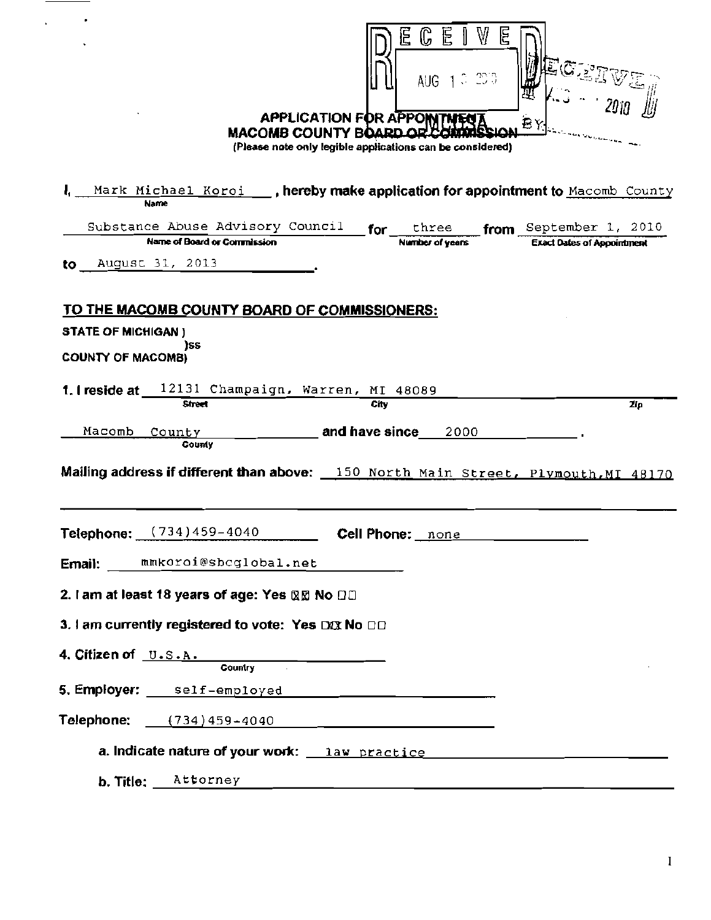|                                                       | <b>MACOMB COUNTY BOARD OR</b>                                                                                          | <b>APPLICATION FOR APPO</b> | W<br>C<br>E<br>le legg<br>AUG<br>(Please note only legible applications can be considered)                            |                                                             |
|-------------------------------------------------------|------------------------------------------------------------------------------------------------------------------------|-----------------------------|-----------------------------------------------------------------------------------------------------------------------|-------------------------------------------------------------|
|                                                       | Mark Michael Koroi <b>by , hereby make application for appointment to</b> Macomb County<br><b>Name</b>                 |                             |                                                                                                                       |                                                             |
|                                                       | Substance Abuse Advisory Council<br>Name of Board or Commission                                                        |                             | for three<br>Number of years                                                                                          | from September 1, 2010<br><b>Exact Dates of Appointment</b> |
| to                                                    | August 31, 2013                                                                                                        |                             |                                                                                                                       |                                                             |
| <b>STATE OF MICHIGAN)</b><br><b>COUNTY OF MACOMB)</b> | <u>TO THE MACOMB COUNTY BOARD OF COMMISSIONERS:</u><br>iss<br><b>1. Freside at</b> $12131$ Champaign, Warren, MI 48089 |                             |                                                                                                                       |                                                             |
|                                                       | <b>Street</b>                                                                                                          | City                        |                                                                                                                       | Zip                                                         |
| Macomb                                                | County<br>County                                                                                                       | and have since_             | 2000                                                                                                                  |                                                             |
|                                                       | Mailing address if different than above: 150 North Main Street, Plymouth, MI 48170                                     |                             |                                                                                                                       |                                                             |
|                                                       | Telephone: (734)459-4040<br>Email: mmkoroi@sbcglobal.net                                                               |                             | Cell Phone: none                                                                                                      |                                                             |
|                                                       | 2. I am at least 18 years of age: Yes ℝ⊠ No □□                                                                         |                             |                                                                                                                       |                                                             |
|                                                       | 3. I am currently registered to vote: Yes DXX No $\Box\Box$                                                            |                             |                                                                                                                       |                                                             |
| 4. Citizen of U.S.A.                                  |                                                                                                                        |                             |                                                                                                                       |                                                             |
|                                                       | <b>Country</b><br>5. Employer: self-employed ___________                                                               |                             |                                                                                                                       |                                                             |
|                                                       | <b>Telephone:</b> $(734)459 - 4040$                                                                                    |                             |                                                                                                                       |                                                             |
|                                                       | a. Indicate nature of your work: https://www.practice/www.com/www.com/www.com/www.com/www.com/www.com/www.com/         |                             |                                                                                                                       |                                                             |
| b. Title:                                             | Attorney                                                                                                               |                             | <u> 2001 - An Dùbhlachd ann an Dùbhlachd ann an Dùbhlachd ann an Dùbhlachd ann an Dùbhlachd ann an Dùbhlachd ann </u> |                                                             |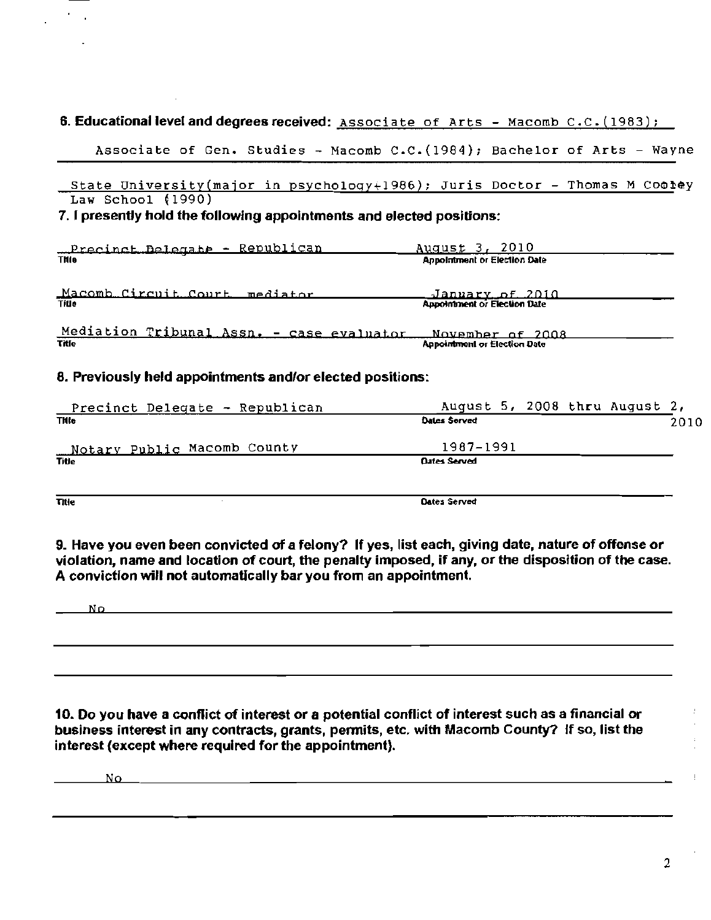# 6. Educational level and degrees received: Associate of Arts - Macomb C.C. (1983);

Associate of Gen. Studies - Macomb *C.C.(1984)j* Bachelor of Arts - Wayne

State University(major in psychology+1986); Juris Doctor - Thomas M Cootey Law School (1990)

# 7. I presently hold the following appointments and elected posilions:

| Precinct Delegate - Republican            | August 3, 2010                      |  |
|-------------------------------------------|-------------------------------------|--|
| Thie                                      | <b>Annolmment or Election Date</b>  |  |
|                                           |                                     |  |
| Macomb Circuit Court mediator             | January of 2010                     |  |
| <b>Title</b>                              | Appointment or Election Date        |  |
|                                           |                                     |  |
| Mediation Tribunal Assn. - case evaluator | November of 2008                    |  |
| Title                                     | <b>Appointment or Election Date</b> |  |
|                                           |                                     |  |

# 8. Previously held appointments and/or elected positions:

| Precinct Delegate - Republican | August 5, 2008 thru August 2, |  |      |
|--------------------------------|-------------------------------|--|------|
| <b>Thie</b>                    | Dates Served                  |  | 2010 |
| Notary Public Macomb County    | 1987-1991                     |  |      |
| Title                          | <b>Qates Served</b>           |  |      |
|                                |                               |  |      |

Title Cates Served Contract Contract Contract Contract Contract Contract Contract Contract Contract Contract Contract Contract Contract Contract Contract Contract Contract Contract Contract Contract Contract Contract Contr

9. Have you even been convicted of a felony? If yes, list each, giving date, nature of offense or violation, name and location of court, the penalty imposed, if any, or the disposition of the case. A conviction will not automatically bar you from an appointment.

No

10. Do you have a conflict of interest or a potential conflict of interest such as a financial or business interest in any contracts, grants, pennits, etc. with Macomb County? If so, list the interest (except where required for the appointment).

No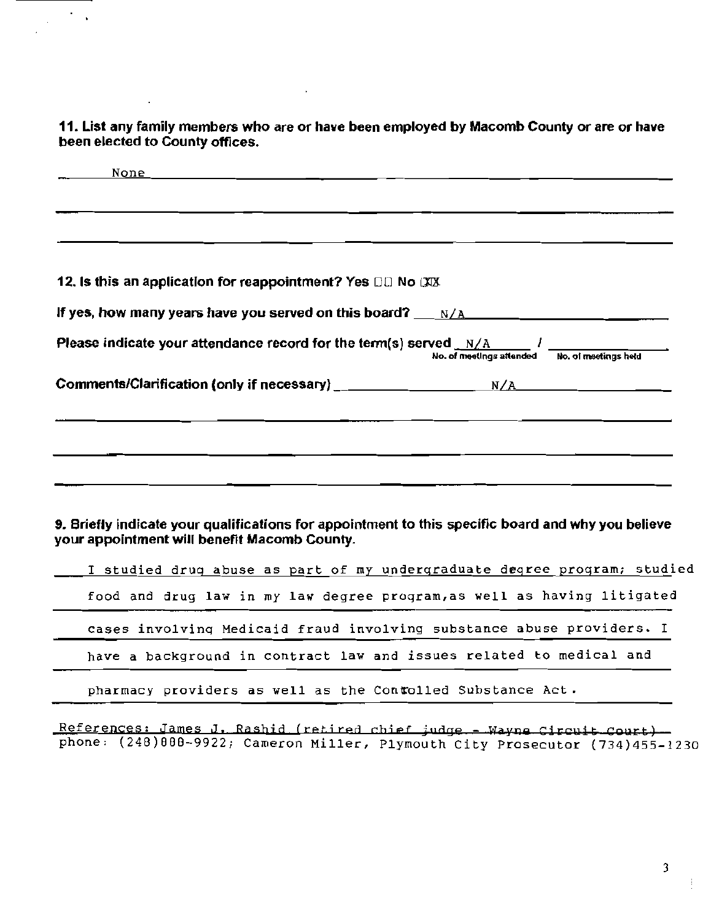**11. List any family members who are or have been employed by Macomb County or are or have been elected to County offices.** 

 $\ddot{\phantom{a}}$ 

 $\mathcal{F}_{\mathcal{A}}$ 

 $\overline{a}$ 

 $\sim 10^{-1}$ 

| None |                                                                            |                                                                                                    |                                               |
|------|----------------------------------------------------------------------------|----------------------------------------------------------------------------------------------------|-----------------------------------------------|
|      |                                                                            |                                                                                                    |                                               |
|      |                                                                            |                                                                                                    |                                               |
|      |                                                                            |                                                                                                    |                                               |
|      | 12. Is this an application for reappointment? Yes $\Box\Box$ No $\Box\Box$ |                                                                                                    |                                               |
|      |                                                                            |                                                                                                    |                                               |
|      |                                                                            | Please indicate your attendance record for the term(s) served $_N/A$ . The summary served $N/A$    | No. of meetings attended No. of meetings held |
|      |                                                                            | Comments/Clarification (only if necessary) $\frac{1}{2}$ M/A N/A N/A                               |                                               |
|      |                                                                            |                                                                                                    |                                               |
|      |                                                                            |                                                                                                    |                                               |
|      |                                                                            |                                                                                                    |                                               |
|      |                                                                            |                                                                                                    |                                               |
|      |                                                                            |                                                                                                    |                                               |
|      |                                                                            |                                                                                                    |                                               |
|      | your appointment will benefit Macomb County.                               | 9. Briefly indicate your qualifications for appointment to this specific board and why you believe |                                               |
|      |                                                                            | I studied drug abuse as part of my undergraduate degree program; studied                           |                                               |
|      |                                                                            | food and drug law in my law degree program, as well as having litigated                            |                                               |
|      |                                                                            | cases involving Medicaid fraud involving substance abuse providers. I                              |                                               |
|      |                                                                            | have a background in contract law and issues related to medical and                                |                                               |
|      |                                                                            | pharmacy providers as well as the Contolled Substance Act.                                         |                                               |
|      |                                                                            |                                                                                                    |                                               |

References: James J. Rashid (retired chief judge - Wayne Circuit Court) phone: (248)888-9922; Cameron Miller, Plymouth City Prosecutor (734)455-1230

3